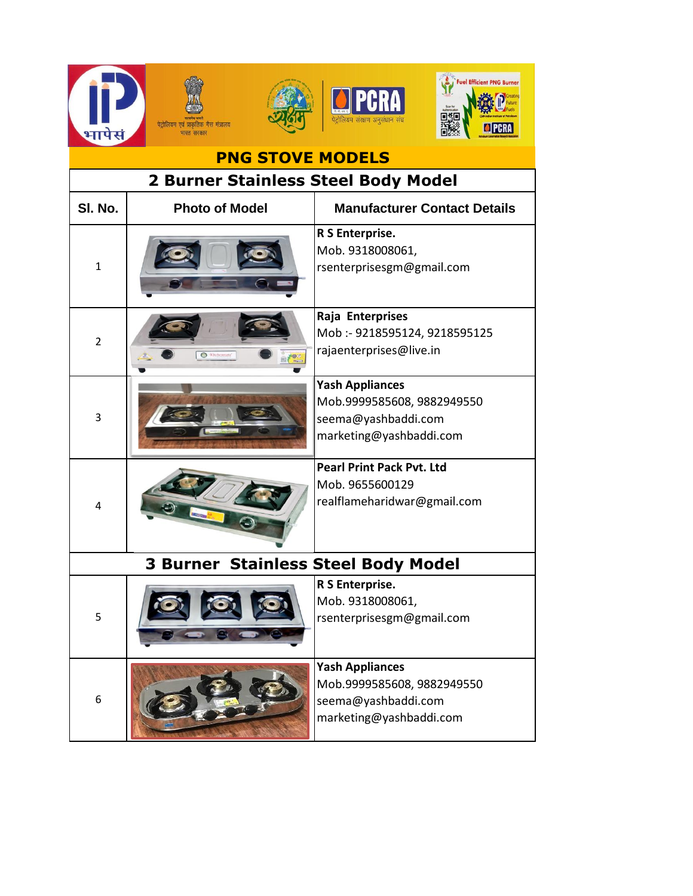

| <b>PNG STOVE MODELS</b>                    |                       |                                                                                                        |  |  |
|--------------------------------------------|-----------------------|--------------------------------------------------------------------------------------------------------|--|--|
| 2 Burner Stainless Steel Body Model        |                       |                                                                                                        |  |  |
| SI. No.                                    | <b>Photo of Model</b> | <b>Manufacturer Contact Details</b>                                                                    |  |  |
| $\mathbf{1}$                               |                       | R S Enterprise.<br>Mob. 9318008061,<br>rsenterprisesgm@gmail.com                                       |  |  |
| $\overline{2}$                             | O Kitc                | Raja Enterprises<br>Mob :- 9218595124, 9218595125<br>rajaenterprises@live.in                           |  |  |
| 3                                          |                       | <b>Yash Appliances</b><br>Mob.9999585608, 9882949550<br>seema@yashbaddi.com<br>marketing@yashbaddi.com |  |  |
| 4                                          |                       | <b>Pearl Print Pack Pvt. Ltd</b><br>Mob. 9655600129<br>realflameharidwar@gmail.com                     |  |  |
| <b>3 Burner Stainless Steel Body Model</b> |                       |                                                                                                        |  |  |
| 5                                          |                       | R S Enterprise.<br>Mob. 9318008061,<br>rsenterprisesgm@gmail.com                                       |  |  |
| 6                                          |                       | <b>Yash Appliances</b><br>Mob.9999585608, 9882949550<br>seema@yashbaddi.com<br>marketing@yashbaddi.com |  |  |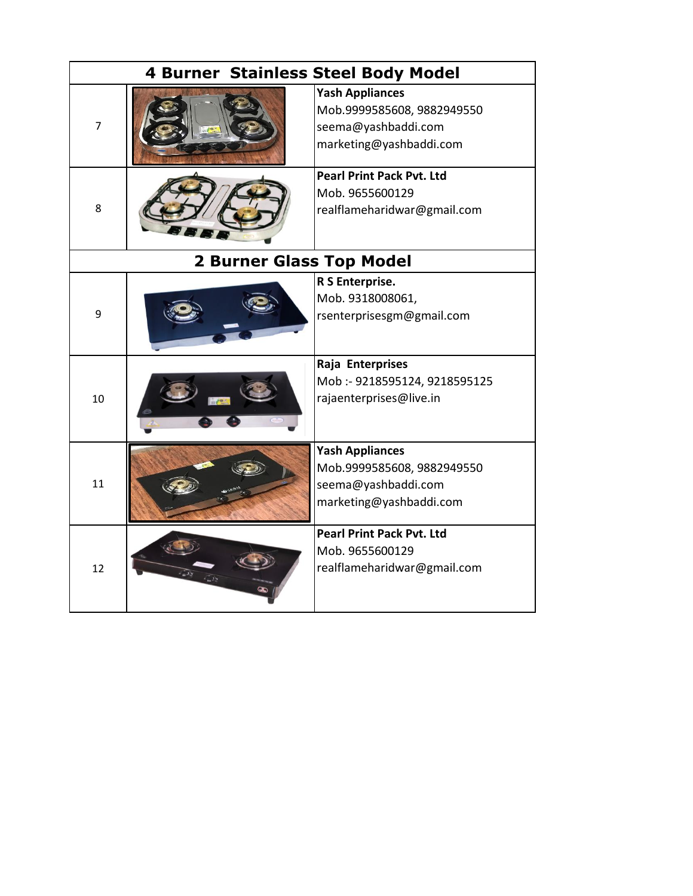| <b>4 Burner Stainless Steel Body Model</b> |  |                                                                                                        |  |  |
|--------------------------------------------|--|--------------------------------------------------------------------------------------------------------|--|--|
| $\overline{7}$                             |  | <b>Yash Appliances</b><br>Mob.9999585608, 9882949550<br>seema@yashbaddi.com<br>marketing@yashbaddi.com |  |  |
| 8                                          |  | <b>Pearl Print Pack Pvt. Ltd</b><br>Mob. 9655600129<br>realflameharidwar@gmail.com                     |  |  |
| <b>2 Burner Glass Top Model</b>            |  |                                                                                                        |  |  |
| 9                                          |  | R S Enterprise.<br>Mob. 9318008061,<br>rsenterprisesgm@gmail.com                                       |  |  |
| 10                                         |  | Raja Enterprises<br>Mob :- 9218595124, 9218595125<br>rajaenterprises@live.in                           |  |  |
| 11                                         |  | <b>Yash Appliances</b><br>Mob.9999585608, 9882949550<br>seema@yashbaddi.com<br>marketing@yashbaddi.com |  |  |
| 12                                         |  | <b>Pearl Print Pack Pvt. Ltd</b><br>Mob. 9655600129<br>realflameharidwar@gmail.com                     |  |  |